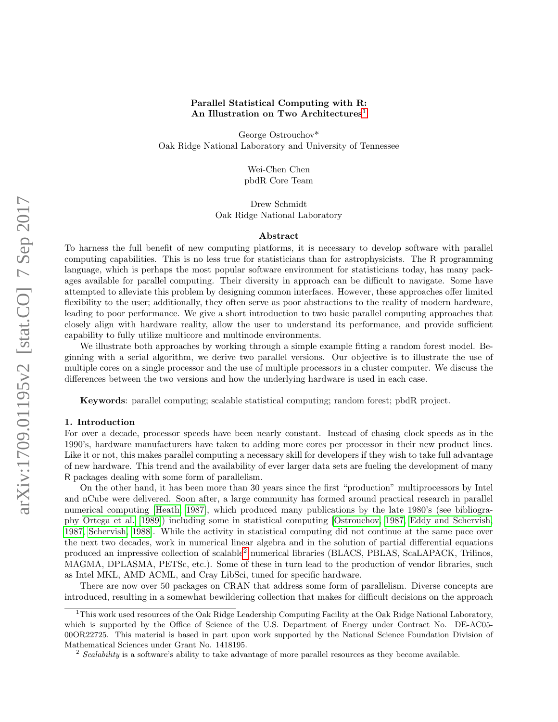## Parallel Statistical Computing with R: An Illustration on Two Architectures<sup>[1](#page-0-0)</sup>

George Ostrouchov\* Oak Ridge National Laboratory and University of Tennessee

> Wei-Chen Chen pbdR Core Team

Drew Schmidt Oak Ridge National Laboratory

#### Abstract

To harness the full benefit of new computing platforms, it is necessary to develop software with parallel computing capabilities. This is no less true for statisticians than for astrophysicists. The R programming language, which is perhaps the most popular software environment for statisticians today, has many packages available for parallel computing. Their diversity in approach can be difficult to navigate. Some have attempted to alleviate this problem by designing common interfaces. However, these approaches offer limited flexibility to the user; additionally, they often serve as poor abstractions to the reality of modern hardware, leading to poor performance. We give a short introduction to two basic parallel computing approaches that closely align with hardware reality, allow the user to understand its performance, and provide sufficient capability to fully utilize multicore and multinode environments.

We illustrate both approaches by working through a simple example fitting a random forest model. Beginning with a serial algorithm, we derive two parallel versions. Our objective is to illustrate the use of multiple cores on a single processor and the use of multiple processors in a cluster computer. We discuss the differences between the two versions and how the underlying hardware is used in each case.

Keywords: parallel computing; scalable statistical computing; random forest; pbdR project.

#### 1. Introduction

For over a decade, processor speeds have been nearly constant. Instead of chasing clock speeds as in the 1990's, hardware manufacturers have taken to adding more cores per processor in their new product lines. Like it or not, this makes parallel computing a necessary skill for developers if they wish to take full advantage of new hardware. This trend and the availability of ever larger data sets are fueling the development of many R packages dealing with some form of parallelism.

On the other hand, it has been more than 30 years since the first "production" multiprocessors by Intel and nCube were delivered. Soon after, a large community has formed around practical research in parallel numerical computing [\[Heath, 1987\]](#page-5-0), which produced many publications by the late 1980's (see bibliography [Ortega et al.](#page-5-1) [\[1989\]](#page-5-1)) including some in statistical computing [\[Ostrouchov, 1987,](#page-5-2) [Eddy and Schervish,](#page-5-3) [1987,](#page-5-3) [Schervish, 1988\]](#page-5-4). While the activity in statistical computing did not continue at the same pace over the next two decades, work in numerical linear algebra and in the solution of partial differential equations produced an impressive collection of scalable[2](#page-0-1) numerical libraries (BLACS, PBLAS, ScaLAPACK, Trilinos, MAGMA, DPLASMA, PETSc, etc.). Some of these in turn lead to the production of vendor libraries, such as Intel MKL, AMD ACML, and Cray LibSci, tuned for specific hardware.

There are now over 50 packages on CRAN that address some form of parallelism. Diverse concepts are introduced, resulting in a somewhat bewildering collection that makes for difficult decisions on the approach

<span id="page-0-0"></span><sup>&</sup>lt;sup>1</sup>This work used resources of the Oak Ridge Leadership Computing Facility at the Oak Ridge National Laboratory, which is supported by the Office of Science of the U.S. Department of Energy under Contract No. DE-AC05- 00OR22725. This material is based in part upon work supported by the National Science Foundation Division of Mathematical Sciences under Grant No. 1418195.

<span id="page-0-1"></span> $2$  Scalability is a software's ability to take advantage of more parallel resources as they become available.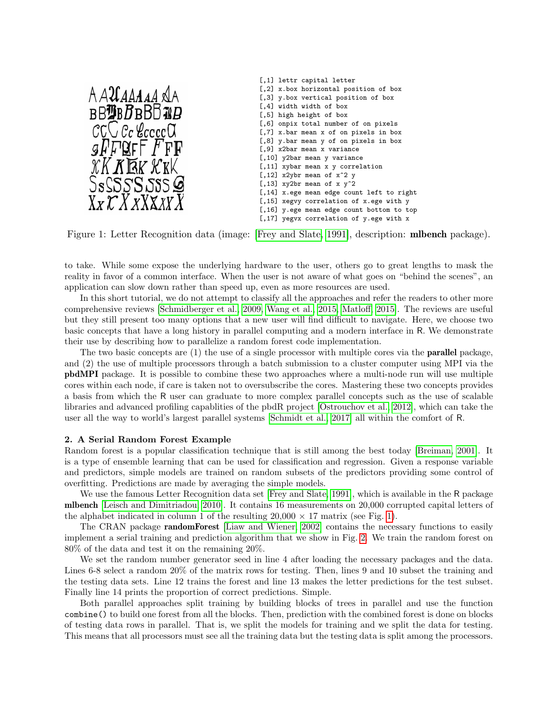

<span id="page-1-0"></span>Figure 1: Letter Recognition data (image: [\[Frey and Slate, 1991\]](#page-5-5), description: **mibench** package).

to take. While some expose the underlying hardware to the user, others go to great lengths to mask the reality in favor of a common interface. When the user is not aware of what goes on "behind the scenes", an application can slow down rather than speed up, even as more resources are used.

In this short tutorial, we do not attempt to classify all the approaches and refer the readers to other more comprehensive reviews [\[Schmidberger et al., 2009,](#page-5-6) [Wang et al., 2015,](#page-5-7) [Matloff, 2015\]](#page-5-8). The reviews are useful but they still present too many options that a new user will find difficult to navigate. Here, we choose two basic concepts that have a long history in parallel computing and a modern interface in R. We demonstrate their use by describing how to parallelize a random forest code implementation.

The two basic concepts are  $(1)$  the use of a single processor with multiple cores via the **parallel** package, and (2) the use of multiple processors through a batch submission to a cluster computer using MPI via the pbdMPI package. It is possible to combine these two approaches where a multi-node run will use multiple cores within each node, if care is taken not to oversubscribe the cores. Mastering these two concepts provides a basis from which the R user can graduate to more complex parallel concepts such as the use of scalable libraries and advanced profiling capablities of the pbdR project [\[Ostrouchov et al., 2012\]](#page-5-9), which can take the user all the way to world's largest parallel systems [\[Schmidt et al., 2017\]](#page-5-10) all within the comfort of R.

#### 2. A Serial Random Forest Example

Random forest is a popular classification technique that is still among the best today [\[Breiman, 2001\]](#page-5-11). It is a type of ensemble learning that can be used for classification and regression. Given a response variable and predictors, simple models are trained on random subsets of the predictors providing some control of overfitting. Predictions are made by averaging the simple models.

We use the famous Letter Recognition data set [\[Frey and Slate, 1991\]](#page-5-5), which is available in the R package mlbench [\[Leisch and Dimitriadou, 2010\]](#page-5-12). It contains 16 measurements on 20,000 corrupted capital letters of the alphabet indicated in column 1 of the resulting  $20,000 \times 17$  matrix (see Fig. [1\)](#page-1-0).

The CRAN package **randomForest** [\[Liaw and Wiener, 2002\]](#page-5-13) contains the necessary functions to easily implement a serial training and prediction algorithm that we show in Fig. [2.](#page-2-0) We train the random forest on 80% of the data and test it on the remaining 20%.

We set the random number generator seed in line 4 after loading the necessary packages and the data. Lines 6-8 select a random 20% of the matrix rows for testing. Then, lines 9 and 10 subset the training and the testing data sets. Line 12 trains the forest and line 13 makes the letter predictions for the test subset. Finally line 14 prints the proportion of correct predictions. Simple.

Both parallel approaches split training by building blocks of trees in parallel and use the function combine() to build one forest from all the blocks. Then, prediction with the combined forest is done on blocks of testing data rows in parallel. That is, we split the models for training and we split the data for testing. This means that all processors must see all the training data but the testing data is split among the processors.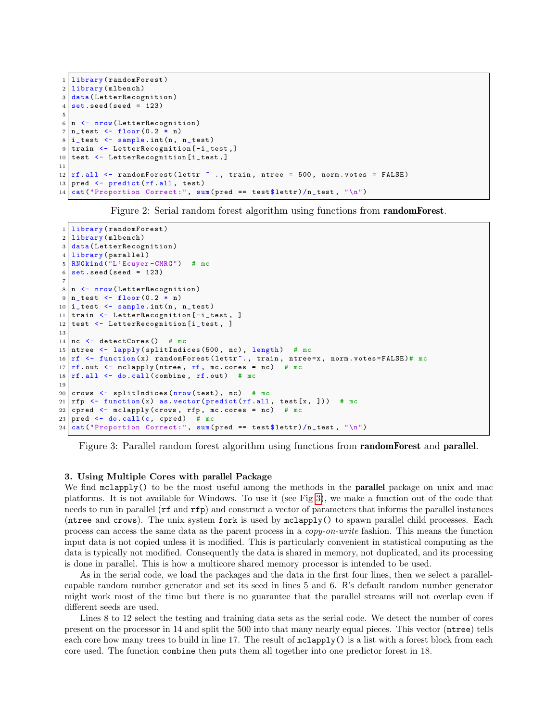```
1 library (randomForest)
2 library (mlbench)
3 data (LetterRecognition)
4 \times 4 set. seed (seed = 123)
5
6 \mid n \leq -nrow (LetterRecognition)
7 \nvert n\_test \leftarrow floor (0.2 * n)8 \mid i_{\text{test}} \leq \text{sample.int}(n, n_{\text{test}})9 train <- LetterRecognition [-i_test,]
10 test \leftarrow LetterRecognition [i_test,]
11
12 \lfloor r \rfloor rf. all \leq randomForest (lettr \sim ., train, ntree = 500, norm. votes = FALSE)
13 pred \leftarrow predict (rf.all, test)
14 cat ("Proportion Correct:", sum (pred == test $ lettr) / n_test, "\n")
```
<span id="page-2-0"></span>Figure 2: Serial random forest algorithm using functions from randomForest.

```
1 library (randomForest)
2 library (mlbench)
3 data (LetterRecognition)
4 library (parallel)
5 RNGkind ("L'Ecuyer-CMRG") # mc
6 \text{ set. seed (seed = } 123)7
8 \mid n \leq -nrow (LetterRecognition)
9 \mid n_{\text{test}} \leftarrow \text{floor}(0.2 * n)10 \mid i\_test <- sample.int(n, n_test)
11 train <- LetterRecognition [-i_test, ]
12 test <- LetterRecognition [i_test, ]
13
14 nc \leftarrow detectCores () # mc
15 ntree \leftarrow lapply (splitIndices (500, nc), length) # mc
16 rf \leq function (x) randomForest (lettr<sup>o</sup>., train, ntree=x, norm.votes=FALSE)# mc
17 \mid \text{rf.out} \leq mclapply (ntree, \text{rf}, mc.cores = nc) # mc
18 \mathbf{r} rf. all \leq do. call (combine, \mathbf{r} f. out) # mc
19
20 crows \leq splitIndices (nrow (test), nc) # mc
21 \mathbf{rfp} <- function (x) as. vector (predict (rf.all, test [x, ])) # mc
22 cpred \leq mclapply (crows, rfp, mc. cores = nc) # mc
23 pred \leq do. call (c, cpred) # mc
24 | \text{cat}("Proportion \text{ Correct:"}, sum (pred == test$lettr)/n_test, "\n")
```
<span id="page-2-1"></span>Figure 3: Parallel random forest algorithm using functions from randomForest and parallel.

### 3. Using Multiple Cores with parallel Package

We find  $mclapp1y()$  to be the most useful among the methods in the **parallel** package on unix and mac platforms. It is not available for Windows. To use it (see Fig [3\)](#page-2-1), we make a function out of the code that needs to run in parallel (rf and rfp) and construct a vector of parameters that informs the parallel instances (ntree and crows). The unix system fork is used by mclapply() to spawn parallel child processes. Each process can access the same data as the parent process in a copy-on-write fashion. This means the function input data is not copied unless it is modified. This is particularly convenient in statistical computing as the data is typically not modified. Consequently the data is shared in memory, not duplicated, and its processing is done in parallel. This is how a multicore shared memory processor is intended to be used.

As in the serial code, we load the packages and the data in the first four lines, then we select a parallelcapable random number generator and set its seed in lines 5 and 6. R's default random number generator might work most of the time but there is no guarantee that the parallel streams will not overlap even if different seeds are used.

Lines 8 to 12 select the testing and training data sets as the serial code. We detect the number of cores present on the processor in 14 and split the 500 into that many nearly equal pieces. This vector (ntree) tells each core how many trees to build in line 17. The result of  $mclapply()$  is a list with a forest block from each core used. The function combine then puts them all together into one predictor forest in 18.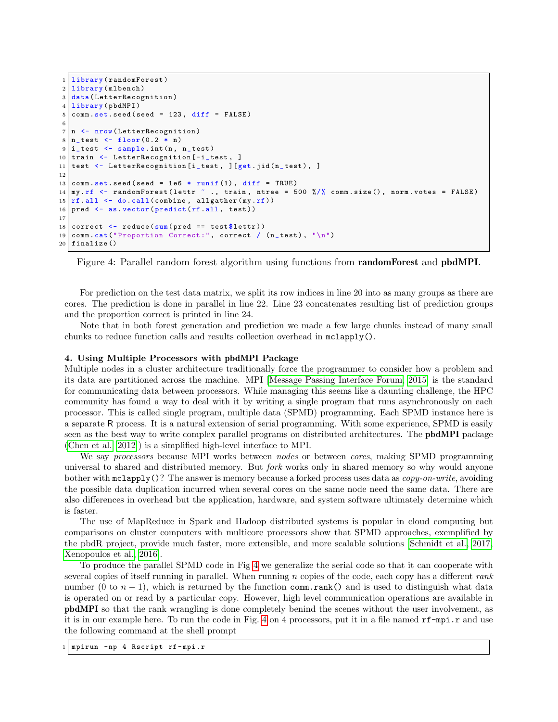```
1 library (randomForest)
2 library (mlbench)
3 data (LetterRecognition)
4 library (pbdMPI)
5 comm . set . seed (seed = 123, diff = FALSE)
6
7 \mid n \leq -nrow (LetterRecognition)
8 \mid n\_test \leq -floor(0.2 * n)9 \mid i\_test \leq - sample. int (n, n\_test)10 train \leq LetterRecognition [-i_test, ]
11 test \leq LetterRecognition [i_test, ] [get.jid (n_test), ]
12
13 comm set seed (seed = 1e6 * runif (1), diff = TRUE)
14 my.rf \leq randomForest (lettr \sim ., train, ntree = 500 %/% comm.size (), norm.votes = FALSE)
15 \left| \text{rf} \right| \left| \text{cf} \right| all \left| \text{co} \right| ( \left| \text{co} \right| allgather \left( \text{my} \right| \left| \text{rf} \right| )
16 pred \leq as. vector (predict (rf. all, test))
17
18 correct \leq reduce (sum (pred == test $ lettr))
19 comm.cat ("Proportion Correct:", correct / (n_{\texttt{test}}), "\n")
20 finalize ()
```
<span id="page-3-0"></span>Figure 4: Parallel random forest algorithm using functions from randomForest and pbdMPI.

For prediction on the test data matrix, we split its row indices in line 20 into as many groups as there are cores. The prediction is done in parallel in line 22. Line 23 concatenates resulting list of prediction groups and the proportion correct is printed in line 24.

Note that in both forest generation and prediction we made a few large chunks instead of many small chunks to reduce function calls and results collection overhead in mclapply().

### 4. Using Multiple Processors with pbdMPI Package

Multiple nodes in a cluster architecture traditionally force the programmer to consider how a problem and its data are partitioned across the machine. MPI [\[Message Passing Interface Forum, 2015\]](#page-5-14) is the standard for communicating data between processors. While managing this seems like a daunting challenge, the HPC community has found a way to deal with it by writing a single program that runs asynchronously on each processor. This is called single program, multiple data (SPMD) programming. Each SPMD instance here is a separate R process. It is a natural extension of serial programming. With some experience, SPMD is easily seen as the best way to write complex parallel programs on distributed architectures. The pbdMPI package [\(Chen et al.](#page-5-15) [\[2012\]](#page-5-15)) is a simplified high-level interface to MPI.

We say *processors* because MPI works between *nodes* or between *cores*, making SPMD programming universal to shared and distributed memory. But *fork* works only in shared memory so why would anyone bother with  $\texttt{mclapply}()$ ? The answer is memory because a forked process uses data as *copy-on-write*, avoiding the possible data duplication incurred when several cores on the same node need the same data. There are also differences in overhead but the application, hardware, and system software ultimately determine which is faster.

The use of MapReduce in Spark and Hadoop distributed systems is popular in cloud computing but comparisons on cluster computers with multicore processors show that SPMD approaches, exemplified by the pbdR project, provide much faster, more extensible, and more scalable solutions [\[Schmidt et al., 2017,](#page-5-10) [Xenopoulos et al., 2016\]](#page-5-16).

To produce the parallel SPMD code in Fig [4](#page-3-0) we generalize the serial code so that it can cooperate with several copies of itself running in parallel. When running n copies of the code, each copy has a different rank number (0 to  $n-1$ ), which is returned by the function comm.rank() and is used to distinguish what data is operated on or read by a particular copy. However, high level communication operations are available in pbdMPI so that the rank wrangling is done completely benind the scenes without the user involvement, as it is in our example here. To run the code in Fig. [4](#page-3-0) on 4 processors, put it in a file named rf-mpi.r and use the following command at the shell prompt

1 mpirun -np 4 Rscript rf - mpi .r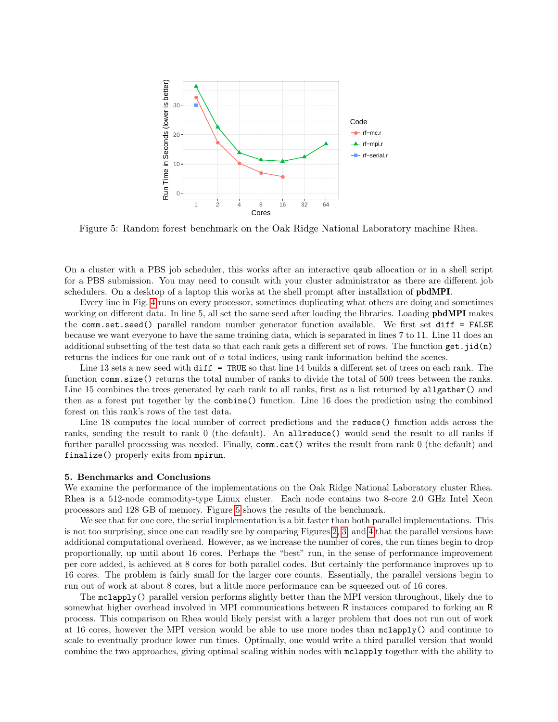

<span id="page-4-0"></span>Figure 5: Random forest benchmark on the Oak Ridge National Laboratory machine Rhea.

On a cluster with a PBS job scheduler, this works after an interactive qsub allocation or in a shell script for a PBS submission. You may need to consult with your cluster administrator as there are different job schedulers. On a desktop of a laptop this works at the shell prompt after installation of pbdMPI.

Every line in Fig. [4](#page-3-0) runs on every processor, sometimes duplicating what others are doing and sometimes working on different data. In line 5, all set the same seed after loading the libraries. Loading **pbdMPI** makes the comm.set.seed() parallel random number generator function available. We first set diff = FALSE because we want everyone to have the same training data, which is separated in lines 7 to 11. Line 11 does an additional subsetting of the test data so that each rank gets a different set of rows. The function get.jid(n) returns the indices for one rank out of  $n$  total indices, using rank information behind the scenes.

Line 13 sets a new seed with diff = TRUE so that line 14 builds a different set of trees on each rank. The function comm.size() returns the total number of ranks to divide the total of 500 trees between the ranks. Line 15 combines the trees generated by each rank to all ranks, first as a list returned by allgather() and then as a forest put together by the combine() function. Line 16 does the prediction using the combined forest on this rank's rows of the test data.

Line 18 computes the local number of correct predictions and the reduce() function adds across the ranks, sending the result to rank 0 (the default). An allreduce() would send the result to all ranks if further parallel processing was needed. Finally, comm.cat() writes the result from rank 0 (the default) and finalize() properly exits from mpirun.

### 5. Benchmarks and Conclusions

We examine the performance of the implementations on the Oak Ridge National Laboratory cluster Rhea. Rhea is a 512-node commodity-type Linux cluster. Each node contains two 8-core 2.0 GHz Intel Xeon processors and 128 GB of memory. Figure [5](#page-4-0) shows the results of the benchmark.

We see that for one core, the serial implementation is a bit faster than both parallel implementations. This is not too surprising, since one can readily see by comparing Figures [2,](#page-2-0) [3,](#page-2-1) and [4](#page-3-0) that the parallel versions have additional computational overhead. However, as we increase the number of cores, the run times begin to drop proportionally, up until about 16 cores. Perhaps the "best" run, in the sense of performance improvement per core added, is achieved at 8 cores for both parallel codes. But certainly the performance improves up to 16 cores. The problem is fairly small for the larger core counts. Essentially, the parallel versions begin to run out of work at about 8 cores, but a little more performance can be squeezed out of 16 cores.

The mclapply() parallel version performs slightly better than the MPI version throughout, likely due to somewhat higher overhead involved in MPI communications between R instances compared to forking an R process. This comparison on Rhea would likely persist with a larger problem that does not run out of work at 16 cores, however the MPI version would be able to use more nodes than mclapply() and continue to scale to eventually produce lower run times. Optimally, one would write a third parallel version that would combine the two approaches, giving optimal scaling within nodes with mclapply together with the ability to